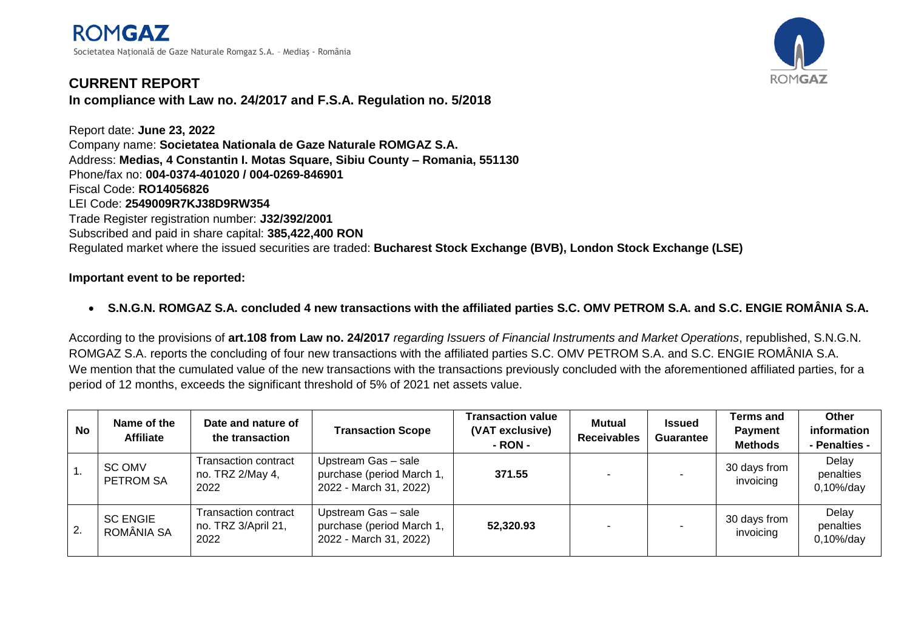

## **CURRENT REPORT In compliance with Law no. 24/2017 and F.S.A. Regulation no. 5/2018**

Report date: **June 23, 2022** Company name: **Societatea Nationala de Gaze Naturale ROMGAZ S.A.** Address: **Medias, 4 Constantin I. Motas Square, Sibiu County – Romania, 551130** Phone/fax no: **004-0374-401020 / 004-0269-846901**  Fiscal Code: **RO14056826** LEI Code: **2549009R7KJ38D9RW354** Trade Register registration number: **J32/392/2001** Subscribed and paid in share capital: **385,422,400 RON** Regulated market where the issued securities are traded: **Bucharest Stock Exchange (BVB), London Stock Exchange (LSE)**

## **Important event to be reported:**

**S.N.G.N. ROMGAZ S.A. concluded 4 new transactions with the affiliated parties S.C. OMV PETROM S.A. and S.C. ENGIE ROMÂNIA S.A.**

According to the provisions of **art.108 from Law no. 24/2017** *regarding Issuers of Financial Instruments and Market Operations*, republished, S.N.G.N. ROMGAZ S.A. reports the concluding of four new transactions with the affiliated parties S.C. OMV PETROM S.A. and S.C. ENGIE ROMÂNIA S.A. We mention that the cumulated value of the new transactions with the transactions previously concluded with the aforementioned affiliated parties, for a period of 12 months, exceeds the significant threshold of 5% of 2021 net assets value.

| <b>No</b> | Name of the<br><b>Affiliate</b> | Date and nature of<br>the transaction               | <b>Transaction Scope</b>                                                   | Transaction value<br>(VAT exclusive)<br>- RON - | Mutual<br><b>Receivables</b> | <b>Issued</b><br><b>Guarantee</b> | Terms and<br><b>Payment</b><br><b>Methods</b> | Other<br>information<br>- Penalties - |
|-----------|---------------------------------|-----------------------------------------------------|----------------------------------------------------------------------------|-------------------------------------------------|------------------------------|-----------------------------------|-----------------------------------------------|---------------------------------------|
|           | SC OMV<br><b>PETROM SA</b>      | Transaction contract<br>no. TRZ 2/May 4,<br>2022    | Upstream Gas - sale<br>purchase (period March 1,<br>2022 - March 31, 2022) | 371.55                                          |                              |                                   | 30 days from<br>invoicing                     | Delay<br>penalties<br>$0,10\%$ /day   |
| 2.        | <b>SC ENGIE</b><br>ROMÂNIA SA   | Transaction contract<br>no. TRZ 3/April 21,<br>2022 | Upstream Gas - sale<br>purchase (period March 1,<br>2022 - March 31, 2022) | 52,320.93                                       |                              |                                   | 30 days from<br>invoicing                     | Delay<br>penalties<br>$0,10\%$ /day   |